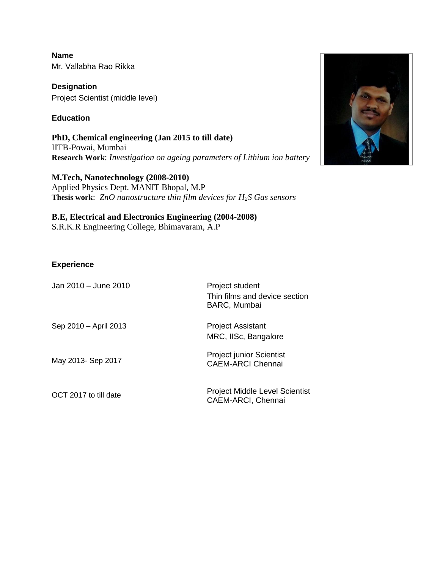**Name** Mr. Vallabha Rao Rikka

**Designation** Project Scientist (middle level)

# **Education**

**PhD, Chemical engineering (Jan 2015 to till date)**  IITB-Powai, Mumbai **Research Work**: *Investigation on ageing parameters of Lithium ion battery*

**M.Tech, Nanotechnology (2008-2010)**  Applied Physics Dept. MANIT Bhopal, M.P **Thesis work**: *ZnO nanostructure thin film devices for H2S Gas sensors*

# **B.E, Electrical and Electronics Engineering (2004-2008)**

S.R.K.R Engineering College, Bhimavaram, A.P

## **Experience**

| Jan 2010 - June 2010  | Project student<br>Thin films and device section<br><b>BARC, Mumbai</b> |
|-----------------------|-------------------------------------------------------------------------|
| Sep 2010 - April 2013 | <b>Project Assistant</b><br>MRC, IISc, Bangalore                        |
| May 2013- Sep 2017    | <b>Project junior Scientist</b><br><b>CAEM-ARCI Chennai</b>             |
| OCT 2017 to till date | Project Middle Level Scientist<br><b>CAEM-ARCI, Chennai</b>             |

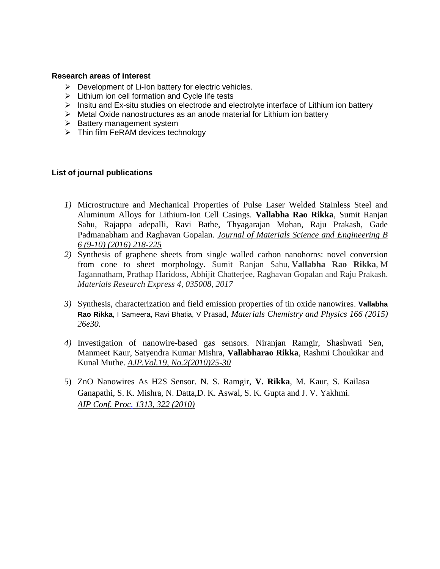#### **Research areas of interest**

- ➢ Development of Li-Ion battery for electric vehicles.
- ➢ Lithium ion cell formation and Cycle life tests
- $\triangleright$  Insitu and Ex-situ studies on electrode and electrolyte interface of Lithium ion battery
- ➢ Metal Oxide nanostructures as an anode material for Lithium ion battery
- ➢ Battery management system
- $\triangleright$  Thin film FeRAM devices technology

#### **List of journal publications**

- *1)* Microstructure and Mechanical Properties of Pulse Laser Welded Stainless Steel and Aluminum Alloys for Lithium-Ion Cell Casings. **Vallabha Rao Rikka**, Sumit Ranjan Sahu, Rajappa adepalli, Ravi Bathe, Thyagarajan Mohan, Raju Prakash, Gade Padmanabham and Raghavan Gopalan. *Journal of Materials Science and Engineering B 6 (9-10) (2016) 218-225*
- *2)* Synthesis of graphene sheets from single walled carbon nanohorns: novel conversion from cone to sheet morphology. Sumit Ranjan Sahu, **Vallabha Rao Rikka**, M Jagannatham, Prathap Haridoss, Abhijit Chatterjee, Raghavan Gopalan and Raju Prakash. *Materials Research Express 4, 035008, 2017*
- *3)* [Synthesis, characterization and field emission properties of tin oxide nanowires.](https://www.sciencedirect.com/science/article/pii/S0254058415303540) **Vallabha Rao Rikka**, I Sameera, Ravi Bhatia, V Prasad, *Materials Chemistry and Physics 166 (2015) 26e30.*
- *4)* Investigation of nanowire-based gas sensors. Niranjan Ramgir, Shashwati Sen, Manmeet Kaur, Satyendra Kumar Mishra, **Vallabharao Rikka**, Rashmi Choukikar and Kunal Muthe. *AJP.Vol.19, No.2(2010)25-30*
- 5) ZnO Nanowires As H2S Sensor. N. S. Ramgir, **V. Rikka**, M. Kaur, S. Kailasa Ganapathi, S. K. Mishra, N. Datta,D. K. Aswal, S. K. Gupta and J. V. Yakhmi. *AIP Conf. Proc. 1313, 322 (2010)*